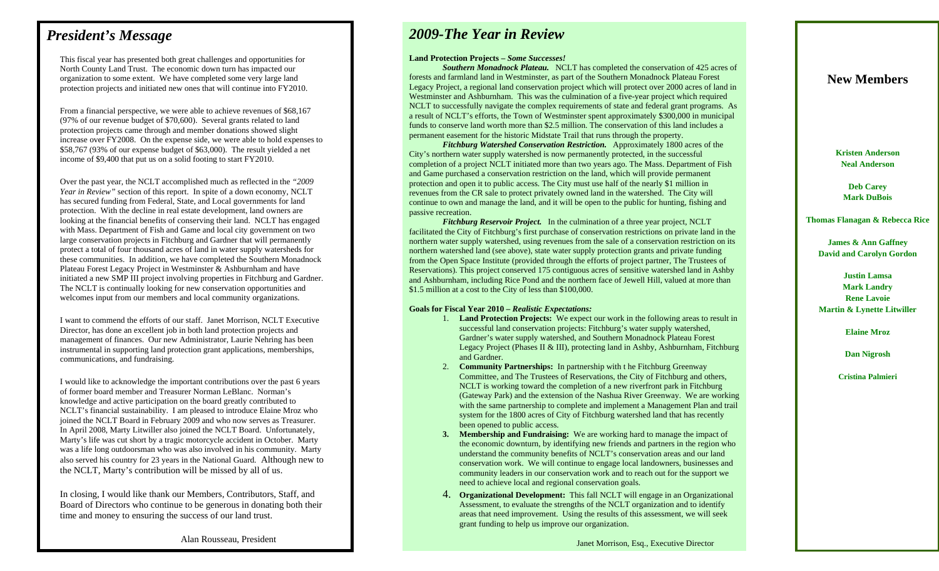## *President's Message*

This fiscal year has presented both great challenges and opportunities for North County Land Trust. The economic down turn has impacted our organization to some extent. We have completed some very large land protection projects and initiated new ones that will continue into FY2010.

From a financial perspective, we were able to achieve revenues of \$68,167 (97% of our revenue budget of \$70,600). Several grants related to land protection projects came through and member donations showed slight increase over FY2008. On the expense side, we were able to hold expenses to \$58,767 (93% of our expense budget of \$63,000). The result yielded a net income of \$9,400 that put us on a solid footing to start FY2010.

Over the past year, the NCLT accomplished much as reflected in the *"2009 Year in Review"* section of this report. In spite of a down economy, NCLT has secured funding from Federal, State, and Local governments for land protection. With the decline in real estate development, land owners are looking at the financial benefits of conserving their land. NCLT has engaged with Mass. Department of Fish and Game and local city government on two large conservation projects in Fitchburg and Gardner that will permanently protect a total of four thousand acres of land in water supply watersheds for these communities. In addition, we have completed the Southern Monadnock Plateau Forest Legacy Project in Westminster & Ashburnham and have initiated a new SMP III project involving properties in Fitchburg and Gardner. The NCLT is continually looking for new conservation opportunities and welcomes input from our members and local community organizations.

I want to commend the efforts of our staff. Janet Morrison, NCLT Executive Director, has done an excellent job in both land protection projects and management of finances. Our new Administrator, Laurie Nehring has been instrumental in supporting land protection grant applications, memberships, communications, and fundraising.

I would like to acknowledge the important contributions over the past 6 years of former board member and Treasurer Norman LeBlanc. Norman's knowledge and active participation on the board greatly contributed to NCLT's financial sustainability. I am pleased to introduce Elaine Mroz who joined the NCLT Board in February 2009 and who now serves as Treasurer. In April 2008, Marty Litwiller also joined the NCLT Board. Unfortunately, Marty's life was cut short by a tragic motorcycle accident in October. Marty was a life long outdoorsman who was also involved in his community. Marty also served his country for 23 years in the National Guard. Although new to the NCLT, Marty's contribution will be missed by all of us.

In closing, I would like thank our Members, Contributors, Staff, and Board of Directors who continue to be generous in donating both their time and money to ensuring the success of our land trust.

Alan Rousseau, President

# *2009-The Year in Review*

#### **Land Protection Projects –** *Some Successes!*

 *Southern Monadnock Plateau.* NCLT has completed the conservation of 425 acres of forests and farmland land in Westminster, as part of the Southern Monadnock Plateau Forest Legacy Project, a regional land conservation project which will protect over 2000 acres of land in Westminster and Ashburnham. This was the culmination of a five-year project which required NCLT to successfully navigate the complex requirements of state and federal grant programs. As a result of NCLT's efforts, the Town of Westminster spent approximately \$300,000 in municipal funds to conserve land worth more than \$2.5 million. The conservation of this land includes a permanent easement for the historic Midstate Trail that runs through the property.

*Fitchburg Watershed Conservation Restriction.* Approximately 1800 acres of the City's northern water supply watershed is now permanently protected, in the successful completion of a project NCLT initiated more than two years ago. The Mass. Department of Fish and Game purchased a conservation restriction on the land, which will provide permanent protection and open it to public access. The City must use half of the nearly \$1 million in revenues from the CR sale to protect privately owned land in the watershed. The City will continue to own and manage the land, and it will be open to the public for hunting, fishing and passive recreation.

*Fitchburg Reservoir Project.* In the culmination of a three year project, NCLT facilitated the City of Fitchburg's first purchase of conservation restrictions on private land in the northern water supply watershed, using revenues from the sale of a conservation restriction on its northern watershed land (see above), state water supply protection grants and private funding from the Open Space Institute (provided through the efforts of project partner, The Trustees of Reservations). This project conserved 175 contiguous acres of sensitive watershed land in Ashby and Ashburnham, including Rice Pond and the northern face of Jewell Hill, valued at more than \$1.5 million at a cost to the City of less than \$100,000.

#### **Goals for Fiscal Year 2010 –** *Realistic Expectations:*

- 1. **Land Protection Projects:** We expect our work in the following areas to result in successful land conservation projects: Fitchburg's water supply watershed, Gardner's water supply watershed, and Southern Monadnock Plateau Forest Legacy Project (Phases II & III), protecting land in Ashby, Ashburnham, Fitchburg and Gardner.
- 2. **Community Partnerships:** In partnership with t he Fitchburg Greenway Committee, and The Trustees of Reservations, the City of Fitchburg and others, NCLT is working toward the completion of a new riverfront park in Fitchburg (Gateway Park) and the extension of the Nashua River Greenway. We are working with the same partnership to complete and implement a Management Plan and trail system for the 1800 acres of City of Fitchburg watershed land that has recently been opened to public access.
- **3. Membership and Fundraising:** We are working hard to manage the impact of the economic downturn, by identifying new friends and partners in the region who understand the community benefits of NCLT's conservation areas and our land conservation work. We will continue to engage local landowners, businesses and community leaders in our conservation work and to reach out for the support we need to achieve local and regional conservation goals.
- 4. **Organizational Development:** This fall NCLT will engage in an Organizational Assessment, to evaluate the strengths of the NCLT organization and to identify areas that need improvement. Using the results of this assessment, we will seek grant funding to help us improve our organization.

### **New Members**

**Kristen Anderson Neal Anderson** 

> **Deb Carey Mark DuBois**

**Thomas Flanagan & Rebecca Rice** 

**James & Ann Gaffney David and Carolyn Gordon** 

**Justin Lamsa Mark Landry Rene Lavoie Martin & Lynette Litwiller** 

**Elaine Mroz** 

**Dan Nigrosh** 

**Cristina Palmieri**